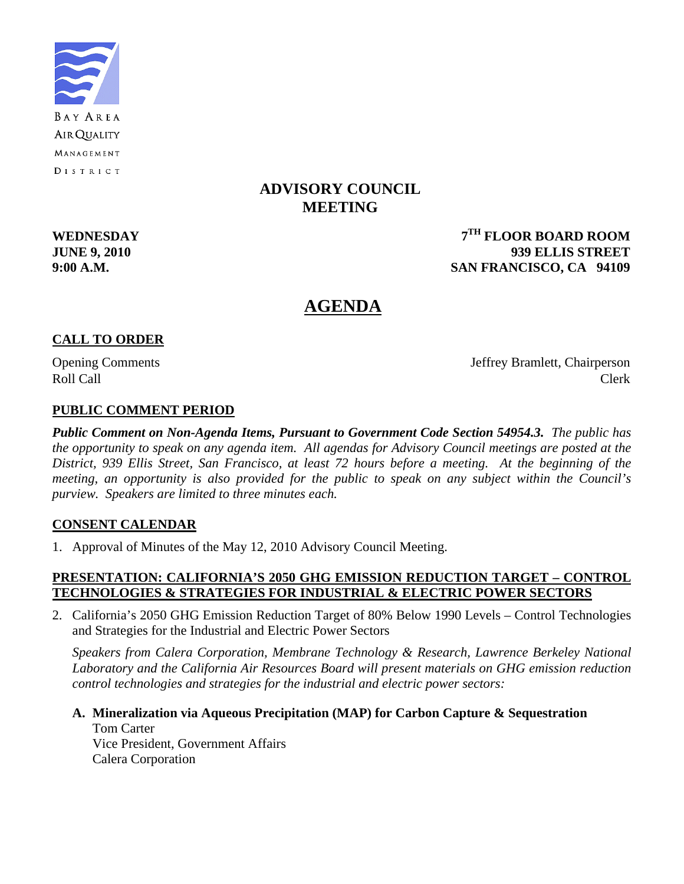

# **ADVISORY COUNCIL MEETING**

**WEDNESDAY 7TH FLOOR BOARD ROOM JUNE 9, 2010 939 ELLIS STREET 9:00 A.M. SAN FRANCISCO, CA 94109** 

# **AGENDA**

# **CALL TO ORDER**

Opening Comments Jeffrey Bramlett, Chairperson Roll Call Call Contract Clerk

# **PUBLIC COMMENT PERIOD**

*Public Comment on Non-Agenda Items, Pursuant to Government Code Section 54954.3. The public has the opportunity to speak on any agenda item. All agendas for Advisory Council meetings are posted at the District, 939 Ellis Street, San Francisco, at least 72 hours before a meeting. At the beginning of the meeting, an opportunity is also provided for the public to speak on any subject within the Council's purview. Speakers are limited to three minutes each.*

# **CONSENT CALENDAR**

1. Approval of Minutes of the May 12, 2010 Advisory Council Meeting.

## **PRESENTATION: CALIFORNIA'S 2050 GHG EMISSION REDUCTION TARGET – CONTROL TECHNOLOGIES & STRATEGIES FOR INDUSTRIAL & ELECTRIC POWER SECTORS**

2. California's 2050 GHG Emission Reduction Target of 80% Below 1990 Levels – Control Technologies and Strategies for the Industrial and Electric Power Sectors

*Speakers from Calera Corporation, Membrane Technology & Research, Lawrence Berkeley National Laboratory and the California Air Resources Board will present materials on GHG emission reduction control technologies and strategies for the industrial and electric power sectors:* 

**A. Mineralization via Aqueous Precipitation (MAP) for Carbon Capture & Sequestration**  Tom Carter

Vice President, Government Affairs Calera Corporation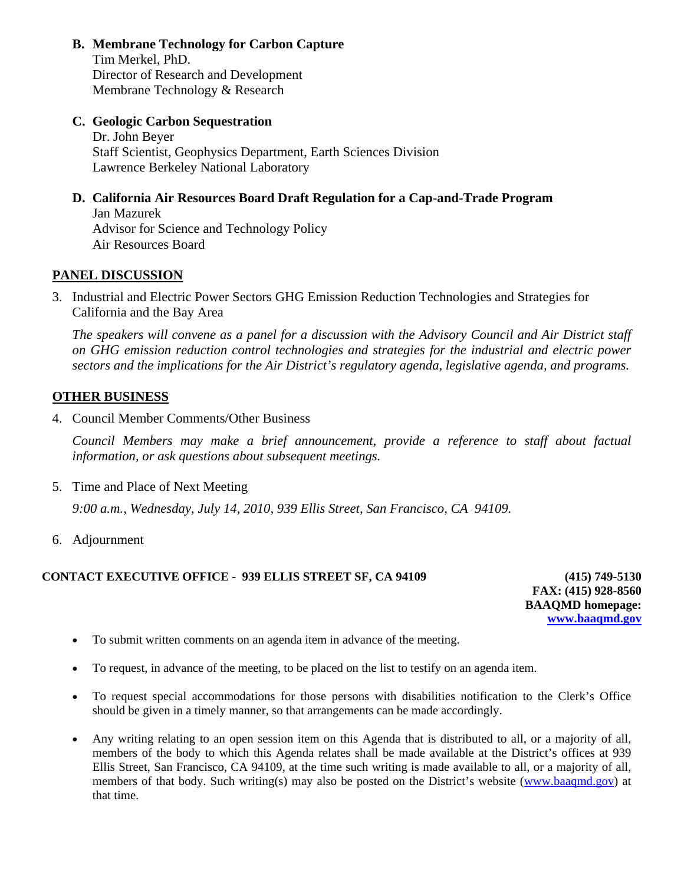- **B. Membrane Technology for Carbon Capture**  Tim Merkel, PhD. Director of Research and Development Membrane Technology & Research
- **C. Geologic Carbon Sequestration**

Dr. John Beyer Staff Scientist, Geophysics Department, Earth Sciences Division Lawrence Berkeley National Laboratory

**D. California Air Resources Board Draft Regulation for a Cap-and-Trade Program**  Jan Mazurek

Advisor for Science and Technology Policy Air Resources Board

## **PANEL DISCUSSION**

3. Industrial and Electric Power Sectors GHG Emission Reduction Technologies and Strategies for California and the Bay Area

*The speakers will convene as a panel for a discussion with the Advisory Council and Air District staff on GHG emission reduction control technologies and strategies for the industrial and electric power sectors and the implications for the Air District's regulatory agenda, legislative agenda, and programs.* 

## **OTHER BUSINESS**

4. Council Member Comments/Other Business

*Council Members may make a brief announcement, provide a reference to staff about factual information, or ask questions about subsequent meetings.* 

5. Time and Place of Next Meeting

 *9:00 a.m., Wednesday, July 14, 2010, 939 Ellis Street, San Francisco, CA 94109.* 

6. Adjournment

# **CONTACT EXECUTIVE OFFICE - 939 ELLIS STREET SF, CA 94109 (415) 749-5130**

**FAX: (415) 928-8560 BAAQMD homepage: [www.baaqmd.gov](http://www.baaqmd.gov/)**

- To submit written comments on an agenda item in advance of the meeting.
- To request, in advance of the meeting, to be placed on the list to testify on an agenda item.
- To request special accommodations for those persons with disabilities notification to the Clerk's Office should be given in a timely manner, so that arrangements can be made accordingly.
- Any writing relating to an open session item on this Agenda that is distributed to all, or a majority of all, members of the body to which this Agenda relates shall be made available at the District's offices at 939 Ellis Street, San Francisco, CA 94109, at the time such writing is made available to all, or a majority of all, members of that body. Such writing(s) may also be posted on the District's website [\(www.baaqmd.gov\)](http://www.baaqmd.gov/) at that time.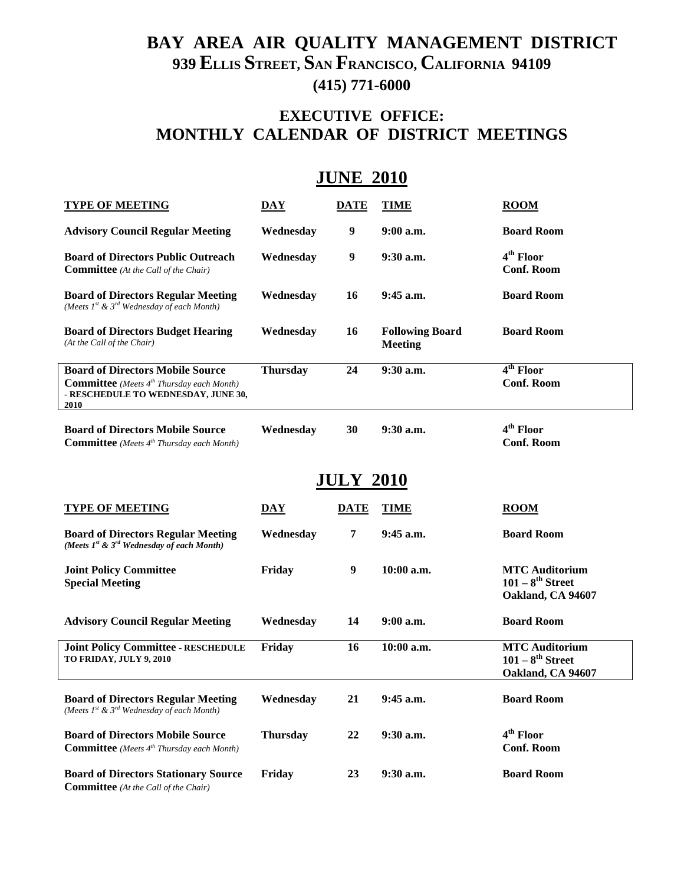# **BAY AREA AIR QUALITY MANAGEMENT DISTRICT 939 ELLIS STREET, SAN FRANCISCO, CALIFORNIA 94109 (415) 771-6000**

# **EXECUTIVE OFFICE: MONTHLY CALENDAR OF DISTRICT MEETINGS**

# **JUNE 2010**

| <b>TYPE OF MEETING</b>                                                                                                                                 | <b>DAY</b>      | <b>DATE</b>      | <b>TIME</b>                              | <b>ROOM</b>                                                         |  |  |  |
|--------------------------------------------------------------------------------------------------------------------------------------------------------|-----------------|------------------|------------------------------------------|---------------------------------------------------------------------|--|--|--|
| <b>Advisory Council Regular Meeting</b>                                                                                                                | Wednesday       | 9                | $9:00$ a.m.                              | <b>Board Room</b>                                                   |  |  |  |
| <b>Board of Directors Public Outreach</b><br><b>Committee</b> (At the Call of the Chair)                                                               | Wednesday       | $\boldsymbol{9}$ | 9:30 a.m.                                | 4 <sup>th</sup> Floor<br><b>Conf. Room</b>                          |  |  |  |
| <b>Board of Directors Regular Meeting</b><br>(Meets $I^{st}$ & $3^{rd}$ Wednesday of each Month)                                                       | Wednesday       | 16               | 9:45 a.m.                                | <b>Board Room</b>                                                   |  |  |  |
| <b>Board of Directors Budget Hearing</b><br>(At the Call of the Chair)                                                                                 | Wednesday       | 16               | <b>Following Board</b><br><b>Meeting</b> | <b>Board Room</b>                                                   |  |  |  |
| <b>Board of Directors Mobile Source</b><br><b>Committee</b> (Meets 4 <sup>th</sup> Thursday each Month)<br>- RESCHEDULE TO WEDNESDAY, JUNE 30,<br>2010 | <b>Thursday</b> | 24               | 9:30 a.m.                                | 4 <sup>th</sup> Floor<br><b>Conf. Room</b>                          |  |  |  |
| <b>Board of Directors Mobile Source</b><br><b>Committee</b> (Meets 4 <sup>th</sup> Thursday each Month)                                                | Wednesday       | 30               | 9:30 a.m.                                | 4 <sup>th</sup> Floor<br><b>Conf. Room</b>                          |  |  |  |
| <b>JULY 2010</b>                                                                                                                                       |                 |                  |                                          |                                                                     |  |  |  |
|                                                                                                                                                        |                 |                  |                                          |                                                                     |  |  |  |
| <b>TYPE OF MEETING</b>                                                                                                                                 | <b>DAY</b>      | <b>DATE</b>      | <b>TIME</b>                              | <b>ROOM</b>                                                         |  |  |  |
| <b>Board of Directors Regular Meeting</b><br>(Meets $Ist$ & $3rd$ Wednesday of each Month)                                                             | Wednesday       | 7                | 9:45 a.m.                                | <b>Board Room</b>                                                   |  |  |  |
| <b>Joint Policy Committee</b><br><b>Special Meeting</b>                                                                                                | Friday          | 9                | $10:00$ a.m.                             | <b>MTC Auditorium</b><br>$101 - 8^{th}$ Street<br>Oakland, CA 94607 |  |  |  |
| <b>Advisory Council Regular Meeting</b>                                                                                                                | Wednesday       | 14               | $9:00$ a.m.                              | <b>Board Room</b>                                                   |  |  |  |
| <b>Joint Policy Committee - RESCHEDULE</b><br>TO FRIDAY, JULY 9, 2010                                                                                  | Friday          | <b>16</b>        | 10:00 a.m.                               | <b>MTC Auditorium</b><br>$101 - 8^{th}$ Street<br>Oakland, CA 94607 |  |  |  |
| <b>Board of Directors Regular Meeting</b><br>(Meets $I^{st}$ & $3^{rd}$ Wednesday of each Month)                                                       | Wednesday       | 21               | 9:45 a.m.                                | <b>Board Room</b>                                                   |  |  |  |
| <b>Board of Directors Mobile Source</b><br><b>Committee</b> (Meets 4 <sup>th</sup> Thursday each Month)                                                | <b>Thursday</b> | 22               | 9:30 a.m.                                | 4 <sup>th</sup> Floor<br><b>Conf. Room</b>                          |  |  |  |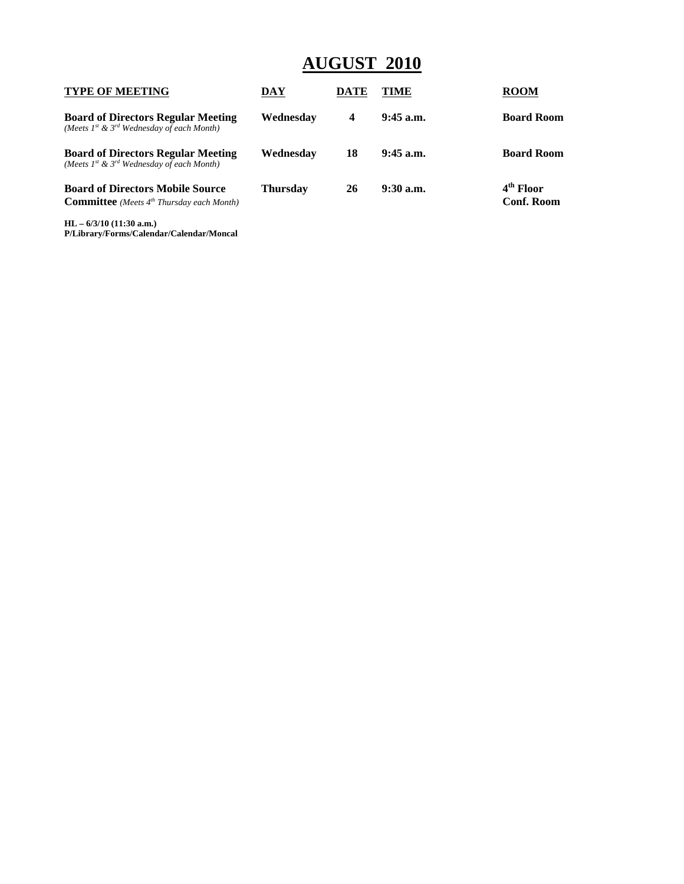# **AUGUST 2010**

| <b>TYPE OF MEETING</b>                                                                           | DAY             | <b>DATE</b> | TIME        | <b>ROOM</b>                      |
|--------------------------------------------------------------------------------------------------|-----------------|-------------|-------------|----------------------------------|
| <b>Board of Directors Regular Meeting</b><br>(Meets $I^{st}$ & $3^{rd}$ Wednesday of each Month) | Wednesday       | 4           | $9:45$ a.m. | <b>Board Room</b>                |
| <b>Board of Directors Regular Meeting</b><br>(Meets $I^{st}$ & $3^{rd}$ Wednesday of each Month) | Wednesday       | 18          | $9:45$ a.m. | <b>Board Room</b>                |
| <b>Board of Directors Mobile Source</b><br><b>Committee</b> (Meets $4^{th}$ Thursday each Month) | <b>Thursday</b> | 26          | $9:30$ a.m. | $4th$ Floor<br><b>Conf. Room</b> |

**HL – 6/3/10 (11:30 a.m.) P/Library/Forms/Calendar/Calendar/Moncal**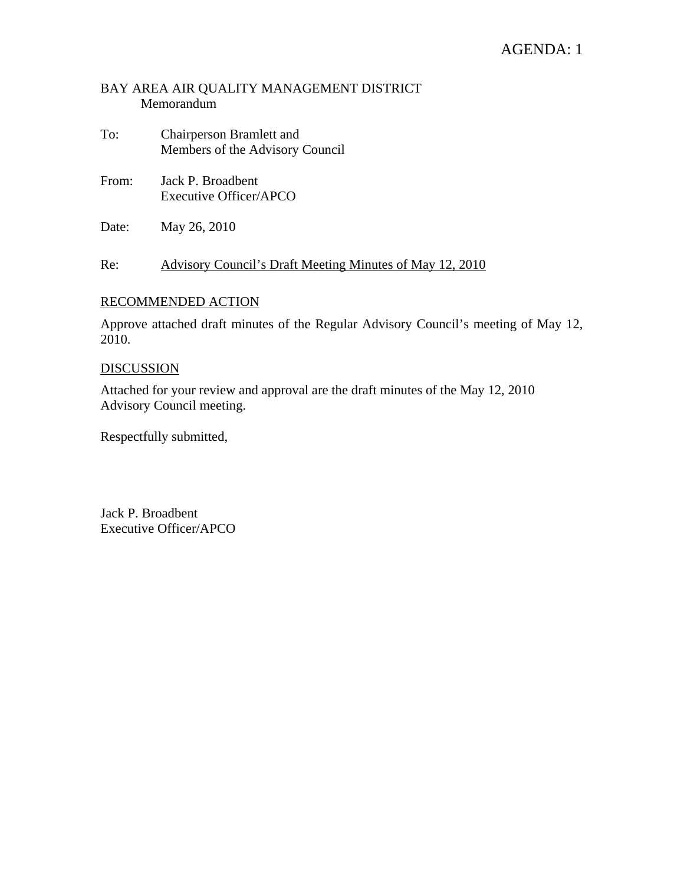# AGENDA: 1

## BAY AREA AIR QUALITY MANAGEMENT DISTRICT Memorandum

- To: Chairperson Bramlett and Members of the Advisory Council
- From: Jack P. Broadbent Executive Officer/APCO
- Date: May 26, 2010

Re: Advisory Council's Draft Meeting Minutes of May 12, 2010

### RECOMMENDED ACTION

Approve attached draft minutes of the Regular Advisory Council's meeting of May 12, 2010.

### DISCUSSION

Attached for your review and approval are the draft minutes of the May 12, 2010 Advisory Council meeting.

Respectfully submitted,

Jack P. Broadbent Executive Officer/APCO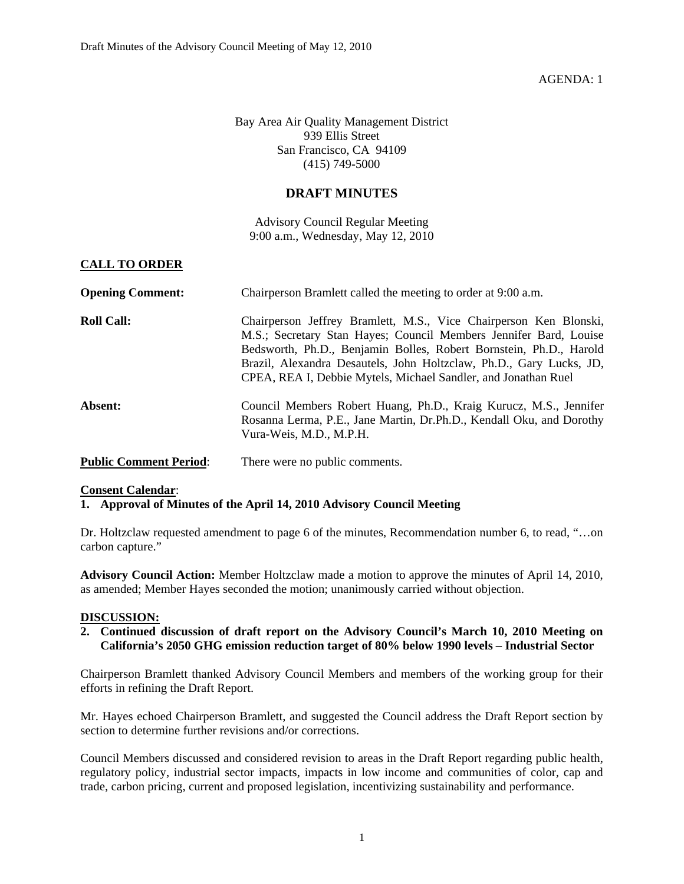AGENDA: 1

Bay Area Air Quality Management District 939 Ellis Street San Francisco, CA 94109 (415) 749-5000

## **DRAFT MINUTES**

Advisory Council Regular Meeting 9:00 a.m., Wednesday, May 12, 2010

### **CALL TO ORDER**

| <b>Opening Comment:</b>       | Chairperson Bramlett called the meeting to order at 9:00 a.m.                                                                                                                                                                                                                                                                                         |
|-------------------------------|-------------------------------------------------------------------------------------------------------------------------------------------------------------------------------------------------------------------------------------------------------------------------------------------------------------------------------------------------------|
| <b>Roll Call:</b>             | Chairperson Jeffrey Bramlett, M.S., Vice Chairperson Ken Blonski,<br>M.S.; Secretary Stan Hayes; Council Members Jennifer Bard, Louise<br>Bedsworth, Ph.D., Benjamin Bolles, Robert Bornstein, Ph.D., Harold<br>Brazil, Alexandra Desautels, John Holtzclaw, Ph.D., Gary Lucks, JD,<br>CPEA, REA I, Debbie Mytels, Michael Sandler, and Jonathan Ruel |
| Absent:                       | Council Members Robert Huang, Ph.D., Kraig Kurucz, M.S., Jennifer<br>Rosanna Lerma, P.E., Jane Martin, Dr.Ph.D., Kendall Oku, and Dorothy<br>Vura-Weis, M.D., M.P.H.                                                                                                                                                                                  |
| <b>Public Comment Period:</b> | There were no public comments.                                                                                                                                                                                                                                                                                                                        |

#### **Consent Calendar**:

#### **1. Approval of Minutes of the April 14, 2010 Advisory Council Meeting**

Dr. Holtzclaw requested amendment to page 6 of the minutes, Recommendation number 6, to read, "…on carbon capture."

**Advisory Council Action:** Member Holtzclaw made a motion to approve the minutes of April 14, 2010, as amended; Member Hayes seconded the motion; unanimously carried without objection.

#### **DISCUSSION:**

#### **2. Continued discussion of draft report on the Advisory Council's March 10, 2010 Meeting on California's 2050 GHG emission reduction target of 80% below 1990 levels – Industrial Sector**

Chairperson Bramlett thanked Advisory Council Members and members of the working group for their efforts in refining the Draft Report.

Mr. Hayes echoed Chairperson Bramlett, and suggested the Council address the Draft Report section by section to determine further revisions and/or corrections.

Council Members discussed and considered revision to areas in the Draft Report regarding public health, regulatory policy, industrial sector impacts, impacts in low income and communities of color, cap and trade, carbon pricing, current and proposed legislation, incentivizing sustainability and performance.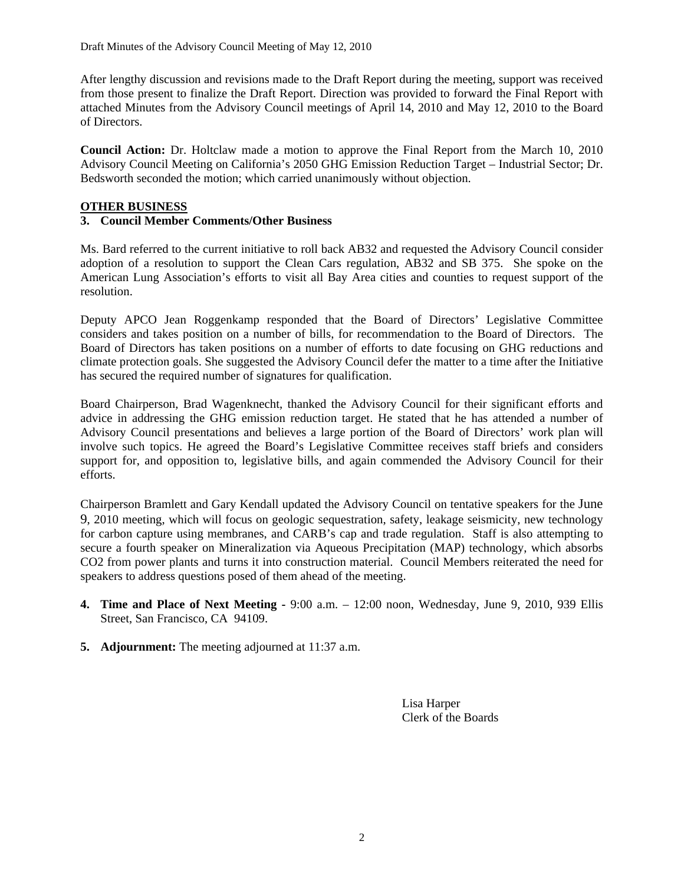After lengthy discussion and revisions made to the Draft Report during the meeting, support was received from those present to finalize the Draft Report. Direction was provided to forward the Final Report with attached Minutes from the Advisory Council meetings of April 14, 2010 and May 12, 2010 to the Board of Directors.

**Council Action:** Dr. Holtclaw made a motion to approve the Final Report from the March 10, 2010 Advisory Council Meeting on California's 2050 GHG Emission Reduction Target – Industrial Sector; Dr. Bedsworth seconded the motion; which carried unanimously without objection.

### **OTHER BUSINESS**

### **3. Council Member Comments/Other Business**

Ms. Bard referred to the current initiative to roll back AB32 and requested the Advisory Council consider adoption of a resolution to support the Clean Cars regulation, AB32 and SB 375. She spoke on the American Lung Association's efforts to visit all Bay Area cities and counties to request support of the resolution.

Deputy APCO Jean Roggenkamp responded that the Board of Directors' Legislative Committee considers and takes position on a number of bills, for recommendation to the Board of Directors. The Board of Directors has taken positions on a number of efforts to date focusing on GHG reductions and climate protection goals. She suggested the Advisory Council defer the matter to a time after the Initiative has secured the required number of signatures for qualification.

Board Chairperson, Brad Wagenknecht, thanked the Advisory Council for their significant efforts and advice in addressing the GHG emission reduction target. He stated that he has attended a number of Advisory Council presentations and believes a large portion of the Board of Directors' work plan will involve such topics. He agreed the Board's Legislative Committee receives staff briefs and considers support for, and opposition to, legislative bills, and again commended the Advisory Council for their efforts.

Chairperson Bramlett and Gary Kendall updated the Advisory Council on tentative speakers for the June 9, 2010 meeting, which will focus on geologic sequestration, safety, leakage seismicity, new technology for carbon capture using membranes, and CARB's cap and trade regulation. Staff is also attempting to secure a fourth speaker on Mineralization via Aqueous Precipitation (MAP) technology, which absorbs CO2 from power plants and turns it into construction material. Council Members reiterated the need for speakers to address questions posed of them ahead of the meeting.

- **4. Time and Place of Next Meeting** 9:00 a.m. 12:00 noon, Wednesday, June 9, 2010, 939 Ellis Street, San Francisco, CA 94109.
- **5. Adjournment:** The meeting adjourned at 11:37 a.m.

 Lisa Harper Clerk of the Boards